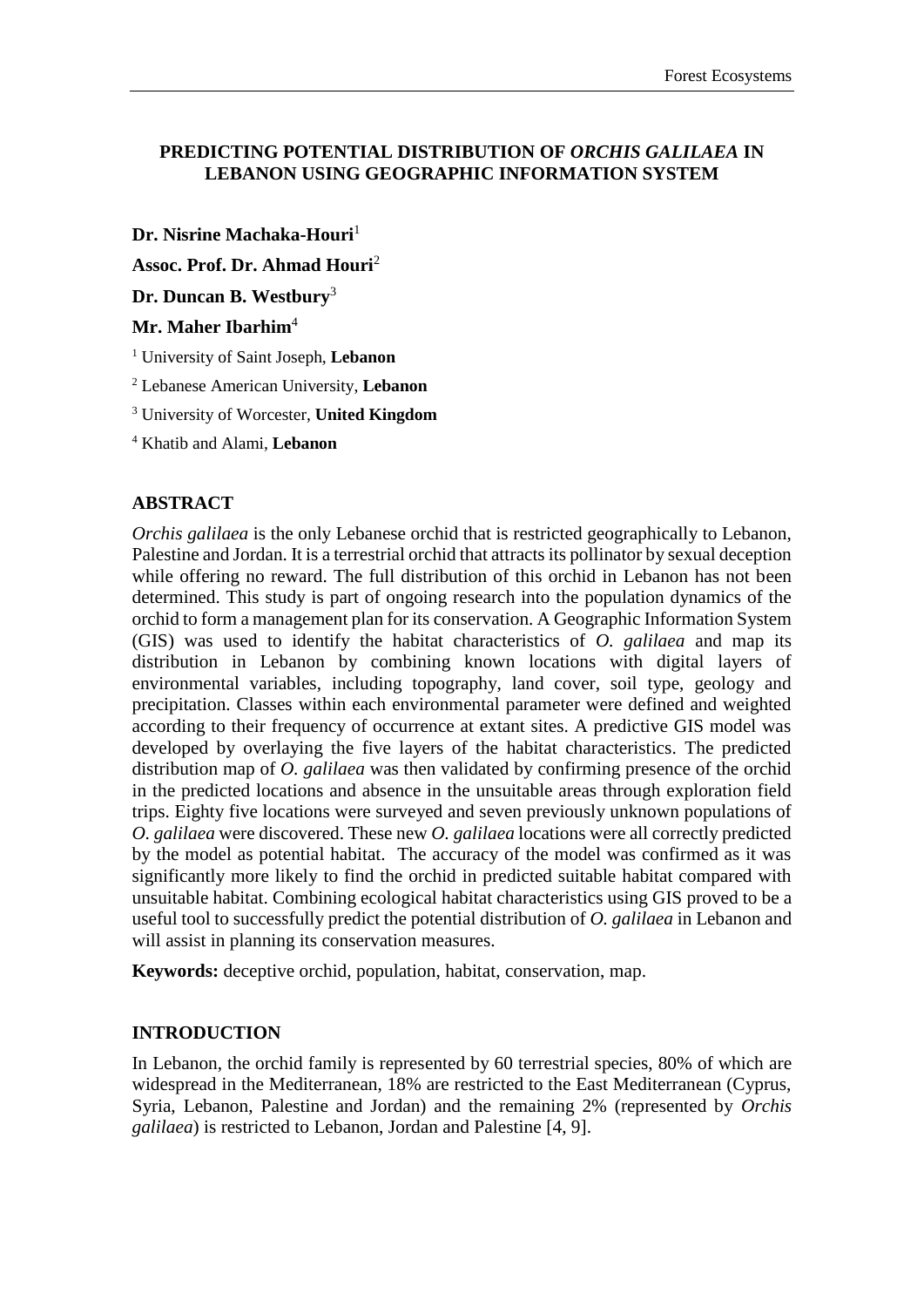# **PREDICTING POTENTIAL DISTRIBUTION OF** *ORCHIS GALILAEA* **IN LEBANON USING GEOGRAPHIC INFORMATION SYSTEM**

**Dr. Nisrine Machaka-Houri**<sup>1</sup>

**Assoc. Prof. Dr. Ahmad Houri**<sup>2</sup>

**Dr. Duncan B. Westbury**<sup>3</sup>

# **Mr. Maher Ibarhim**<sup>4</sup>

<sup>1</sup> University of Saint Joseph, **Lebanon**

<sup>2</sup> Lebanese American University, **Lebanon**

<sup>3</sup> University of Worcester, **United Kingdom**

<sup>4</sup> Khatib and Alami, **Lebanon**

### **ABSTRACT**

*Orchis galilaea* is the only Lebanese orchid that is restricted geographically to Lebanon, Palestine and Jordan. It is a terrestrial orchid that attracts its pollinator by sexual deception while offering no reward. The full distribution of this orchid in Lebanon has not been determined. This study is part of ongoing research into the population dynamics of the orchid to form a management plan for its conservation. A Geographic Information System (GIS) was used to identify the habitat characteristics of *O. galilaea* and map its distribution in Lebanon by combining known locations with digital layers of environmental variables, including topography, land cover, soil type, geology and precipitation. Classes within each environmental parameter were defined and weighted according to their frequency of occurrence at extant sites. A predictive GIS model was developed by overlaying the five layers of the habitat characteristics. The predicted distribution map of *O. galilaea* was then validated by confirming presence of the orchid in the predicted locations and absence in the unsuitable areas through exploration field trips. Eighty five locations were surveyed and seven previously unknown populations of *O. galilaea* were discovered. These new *O. galilaea* locations were all correctly predicted by the model as potential habitat. The accuracy of the model was confirmed as it was significantly more likely to find the orchid in predicted suitable habitat compared with unsuitable habitat. Combining ecological habitat characteristics using GIS proved to be a useful tool to successfully predict the potential distribution of *O. galilaea* in Lebanon and will assist in planning its conservation measures.

**Keywords:** deceptive orchid, population, habitat, conservation, map.

#### **INTRODUCTION**

In Lebanon, the orchid family is represented by 60 terrestrial species, 80% of which are widespread in the Mediterranean, 18% are restricted to the East Mediterranean (Cyprus, Syria, Lebanon, Palestine and Jordan) and the remaining 2% (represented by *Orchis galilaea*) is restricted to Lebanon, Jordan and Palestine [4, 9].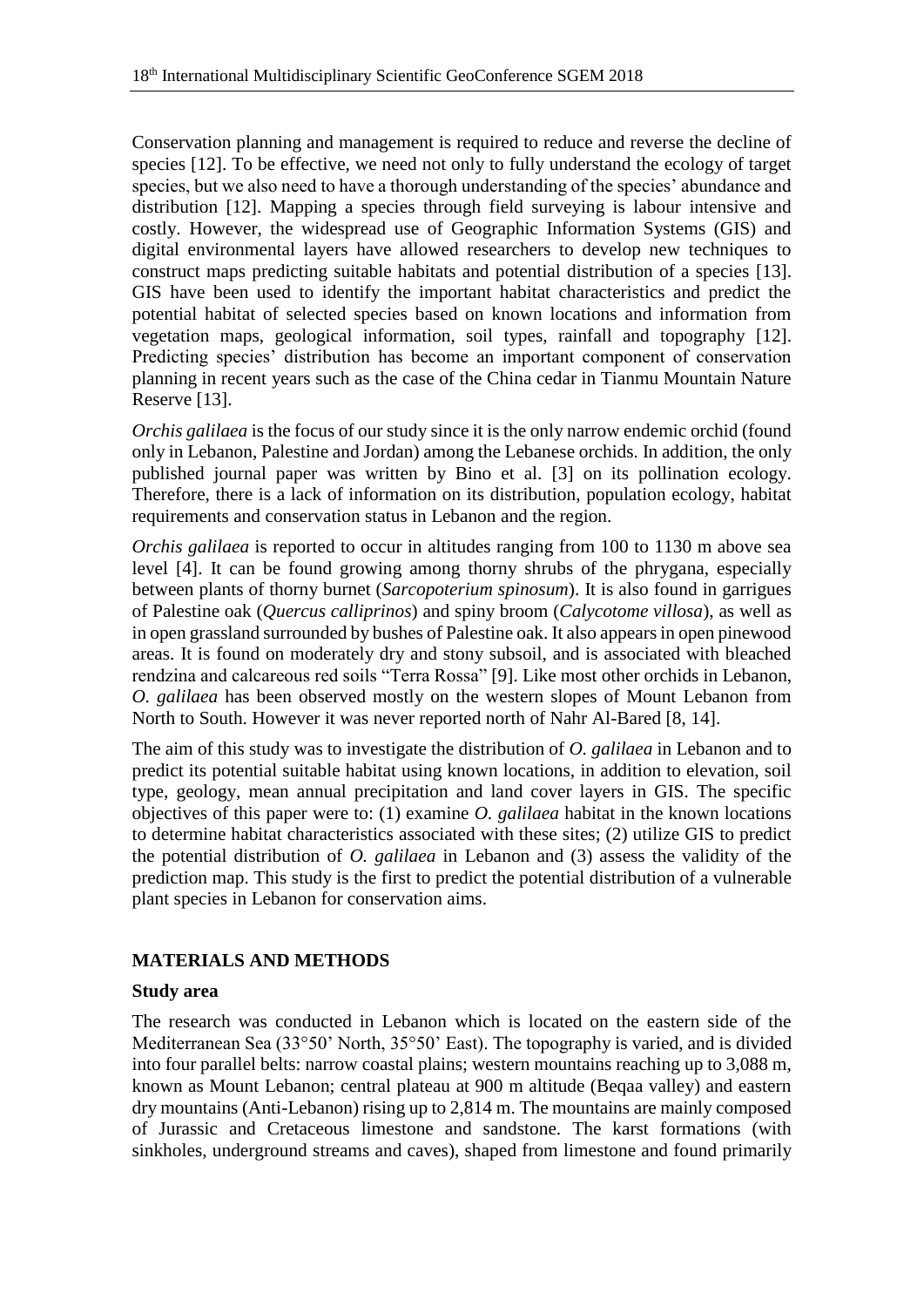Conservation planning and management is required to reduce and reverse the decline of species [12]. To be effective, we need not only to fully understand the ecology of target species, but we also need to have a thorough understanding of the species' abundance and distribution [12]. Mapping a species through field surveying is labour intensive and costly. However, the widespread use of Geographic Information Systems (GIS) and digital environmental layers have allowed researchers to develop new techniques to construct maps predicting suitable habitats and potential distribution of a species [13]. GIS have been used to identify the important habitat characteristics and predict the potential habitat of selected species based on known locations and information from vegetation maps, geological information, soil types, rainfall and topography [12]. Predicting species' distribution has become an important component of conservation planning in recent years such as the case of the China cedar in Tianmu Mountain Nature Reserve [13].

*Orchis galilaea* is the focus of our study since it is the only narrow endemic orchid (found only in Lebanon, Palestine and Jordan) among the Lebanese orchids. In addition, the only published journal paper was written by Bino et al. [3] on its pollination ecology. Therefore, there is a lack of information on its distribution, population ecology, habitat requirements and conservation status in Lebanon and the region.

*Orchis galilaea* is reported to occur in altitudes ranging from 100 to 1130 m above sea level [4]. It can be found growing among thorny shrubs of the phrygana, especially between plants of thorny burnet (*Sarcopoterium spinosum*). It is also found in garrigues of Palestine oak (*Quercus calliprinos*) and spiny broom (*Calycotome villosa*), as well as in open grassland surrounded by bushes of Palestine oak. It also appears in open pinewood areas. It is found on moderately dry and stony subsoil, and is associated with bleached rendzina and calcareous red soils "Terra Rossa" [9]. Like most other orchids in Lebanon, *O. galilaea* has been observed mostly on the western slopes of Mount Lebanon from North to South. However it was never reported north of Nahr Al-Bared [8, 14].

The aim of this study was to investigate the distribution of *O. galilaea* in Lebanon and to predict its potential suitable habitat using known locations, in addition to elevation, soil type, geology, mean annual precipitation and land cover layers in GIS. The specific objectives of this paper were to: (1) examine *O. galilaea* habitat in the known locations to determine habitat characteristics associated with these sites; (2) utilize GIS to predict the potential distribution of *O. galilaea* in Lebanon and (3) assess the validity of the prediction map. This study is the first to predict the potential distribution of a vulnerable plant species in Lebanon for conservation aims.

# **MATERIALS AND METHODS**

# **Study area**

The research was conducted in Lebanon which is located on the eastern side of the Mediterranean Sea (33°50' North, 35°50' East). The topography is varied, and is divided into four parallel belts: narrow coastal plains; western mountains reaching up to 3,088 m, known as Mount Lebanon; central plateau at 900 m altitude (Beqaa valley) and eastern dry mountains (Anti-Lebanon) rising up to 2,814 m. The mountains are mainly composed of Jurassic and Cretaceous limestone and sandstone. The karst formations (with sinkholes, underground streams and caves), shaped from limestone and found primarily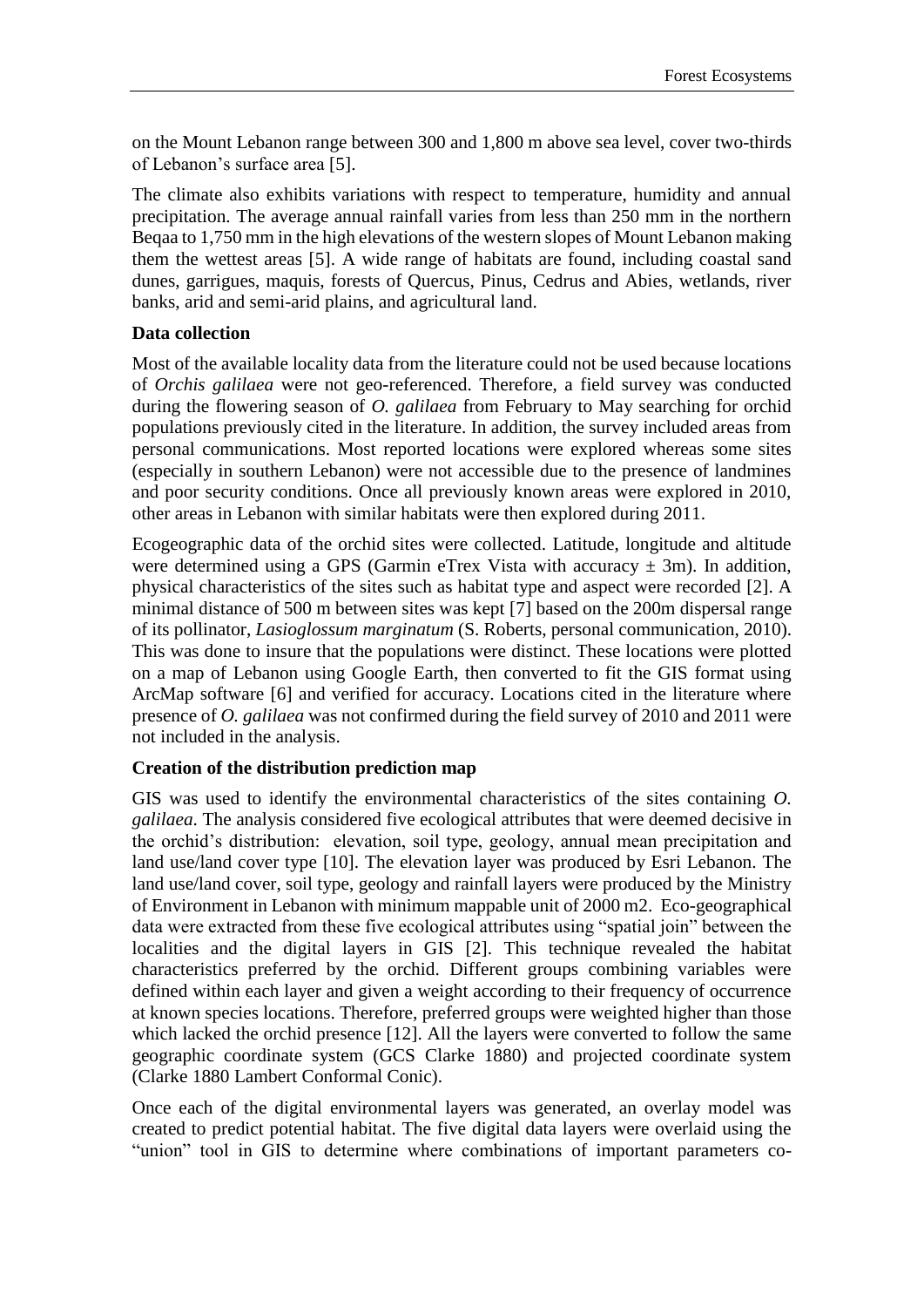on the Mount Lebanon range between 300 and 1,800 m above sea level, cover two-thirds of Lebanon's surface area [5].

The climate also exhibits variations with respect to temperature, humidity and annual precipitation. The average annual rainfall varies from less than 250 mm in the northern Beqaa to 1,750 mm in the high elevations of the western slopes of Mount Lebanon making them the wettest areas [5]. A wide range of habitats are found, including coastal sand dunes, garrigues, maquis, forests of Quercus, Pinus, Cedrus and Abies, wetlands, river banks, arid and semi-arid plains, and agricultural land.

# **Data collection**

Most of the available locality data from the literature could not be used because locations of *Orchis galilaea* were not geo-referenced. Therefore, a field survey was conducted during the flowering season of *O. galilaea* from February to May searching for orchid populations previously cited in the literature. In addition, the survey included areas from personal communications. Most reported locations were explored whereas some sites (especially in southern Lebanon) were not accessible due to the presence of landmines and poor security conditions. Once all previously known areas were explored in 2010, other areas in Lebanon with similar habitats were then explored during 2011.

Ecogeographic data of the orchid sites were collected. Latitude, longitude and altitude were determined using a GPS (Garmin eTrex Vista with accuracy  $\pm$  3m). In addition, physical characteristics of the sites such as habitat type and aspect were recorded [2]. A minimal distance of 500 m between sites was kept [7] based on the 200m dispersal range of its pollinator, *Lasioglossum marginatum* (S. Roberts, personal communication, 2010). This was done to insure that the populations were distinct. These locations were plotted on a map of Lebanon using Google Earth, then converted to fit the GIS format using ArcMap software [6] and verified for accuracy. Locations cited in the literature where presence of *O. galilaea* was not confirmed during the field survey of 2010 and 2011 were not included in the analysis.

# **Creation of the distribution prediction map**

GIS was used to identify the environmental characteristics of the sites containing *O. galilaea*. The analysis considered five ecological attributes that were deemed decisive in the orchid's distribution: elevation, soil type, geology, annual mean precipitation and land use/land cover type [10]. The elevation layer was produced by Esri Lebanon. The land use/land cover, soil type, geology and rainfall layers were produced by the Ministry of Environment in Lebanon with minimum mappable unit of 2000 m2. Eco-geographical data were extracted from these five ecological attributes using "spatial join" between the localities and the digital layers in GIS [2]. This technique revealed the habitat characteristics preferred by the orchid. Different groups combining variables were defined within each layer and given a weight according to their frequency of occurrence at known species locations. Therefore, preferred groups were weighted higher than those which lacked the orchid presence [12]. All the layers were converted to follow the same geographic coordinate system (GCS Clarke 1880) and projected coordinate system (Clarke 1880 Lambert Conformal Conic).

Once each of the digital environmental layers was generated, an overlay model was created to predict potential habitat. The five digital data layers were overlaid using the "union" tool in GIS to determine where combinations of important parameters co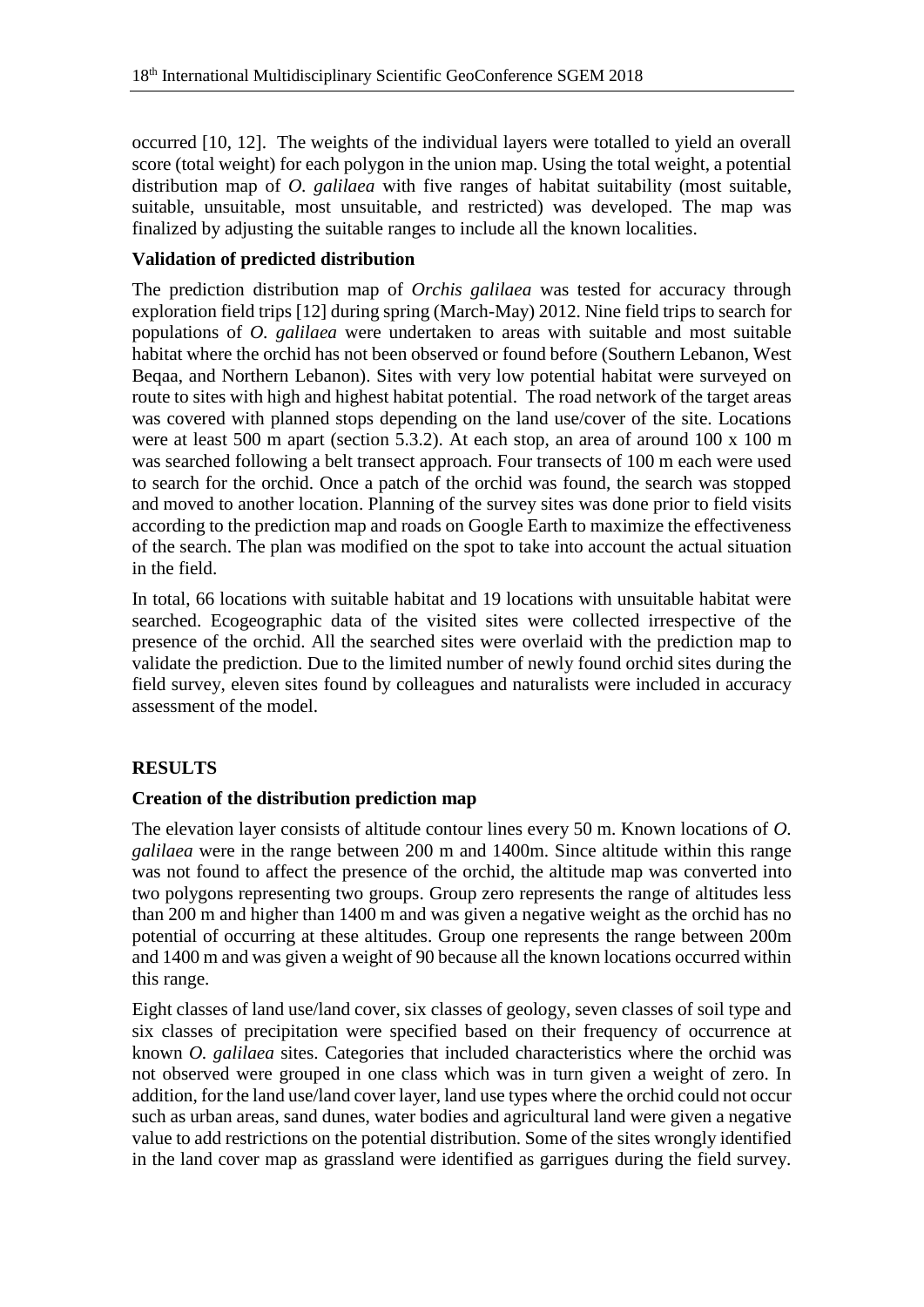occurred [10, 12]. The weights of the individual layers were totalled to yield an overall score (total weight) for each polygon in the union map. Using the total weight, a potential distribution map of *O. galilaea* with five ranges of habitat suitability (most suitable, suitable, unsuitable, most unsuitable, and restricted) was developed. The map was finalized by adjusting the suitable ranges to include all the known localities.

# **Validation of predicted distribution**

The prediction distribution map of *Orchis galilaea* was tested for accuracy through exploration field trips [12] during spring (March-May) 2012. Nine field trips to search for populations of *O. galilaea* were undertaken to areas with suitable and most suitable habitat where the orchid has not been observed or found before (Southern Lebanon, West Beqaa, and Northern Lebanon). Sites with very low potential habitat were surveyed on route to sites with high and highest habitat potential. The road network of the target areas was covered with planned stops depending on the land use/cover of the site. Locations were at least 500 m apart (section 5.3.2). At each stop, an area of around 100 x 100 m was searched following a belt transect approach. Four transects of 100 m each were used to search for the orchid. Once a patch of the orchid was found, the search was stopped and moved to another location. Planning of the survey sites was done prior to field visits according to the prediction map and roads on Google Earth to maximize the effectiveness of the search. The plan was modified on the spot to take into account the actual situation in the field.

In total, 66 locations with suitable habitat and 19 locations with unsuitable habitat were searched. Ecogeographic data of the visited sites were collected irrespective of the presence of the orchid. All the searched sites were overlaid with the prediction map to validate the prediction. Due to the limited number of newly found orchid sites during the field survey, eleven sites found by colleagues and naturalists were included in accuracy assessment of the model.

# **RESULTS**

# **Creation of the distribution prediction map**

The elevation layer consists of altitude contour lines every 50 m. Known locations of *O. galilaea* were in the range between 200 m and 1400m. Since altitude within this range was not found to affect the presence of the orchid, the altitude map was converted into two polygons representing two groups. Group zero represents the range of altitudes less than 200 m and higher than 1400 m and was given a negative weight as the orchid has no potential of occurring at these altitudes. Group one represents the range between 200m and 1400 m and was given a weight of 90 because all the known locations occurred within this range.

Eight classes of land use/land cover, six classes of geology, seven classes of soil type and six classes of precipitation were specified based on their frequency of occurrence at known *O. galilaea* sites. Categories that included characteristics where the orchid was not observed were grouped in one class which was in turn given a weight of zero. In addition, for the land use/land cover layer, land use types where the orchid could not occur such as urban areas, sand dunes, water bodies and agricultural land were given a negative value to add restrictions on the potential distribution. Some of the sites wrongly identified in the land cover map as grassland were identified as garrigues during the field survey.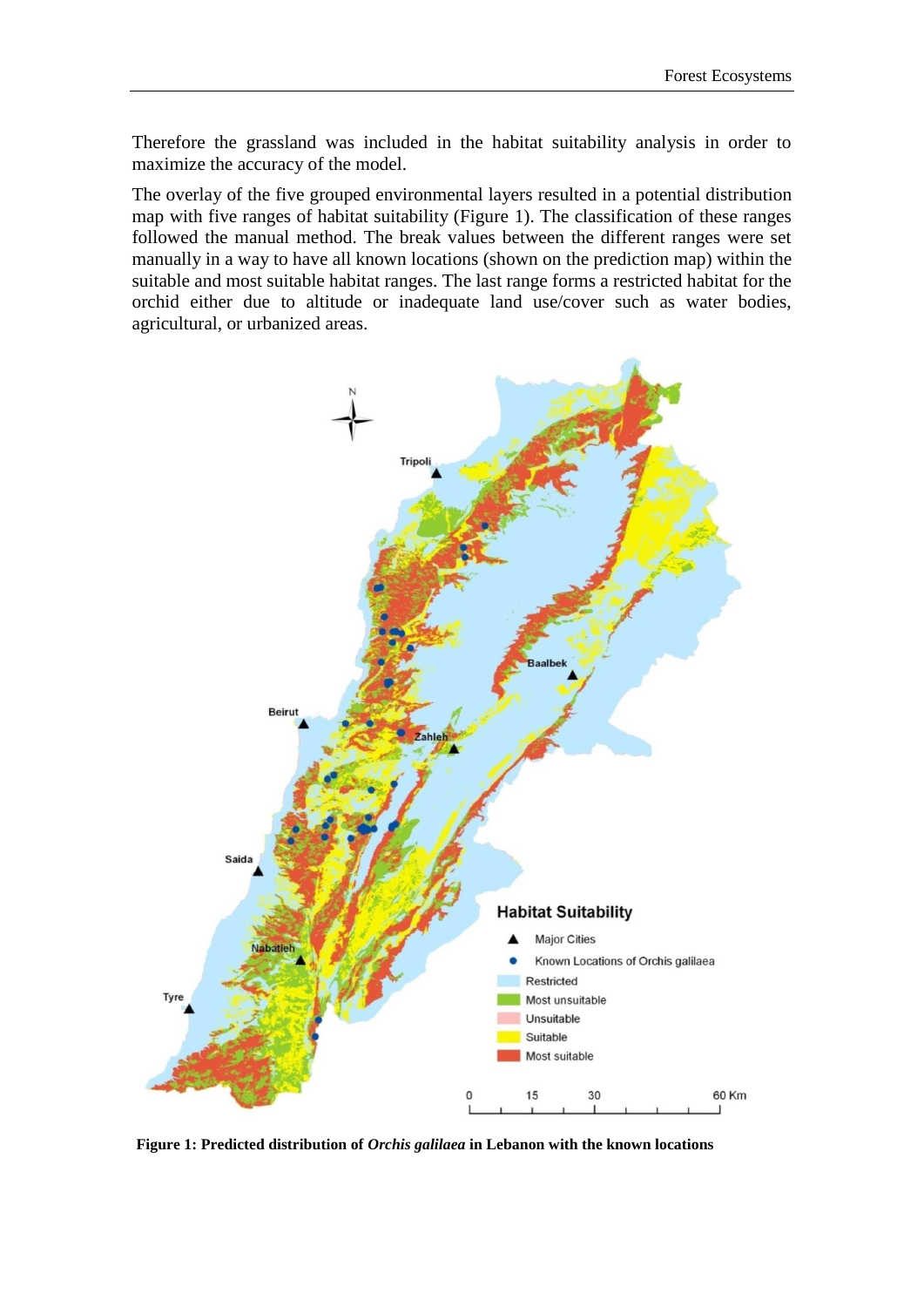Therefore the grassland was included in the habitat suitability analysis in order to maximize the accuracy of the model.

The overlay of the five grouped environmental layers resulted in a potential distribution map with five ranges of habitat suitability (Figure 1). The classification of these ranges followed the manual method. The break values between the different ranges were set manually in a way to have all known locations (shown on the prediction map) within the suitable and most suitable habitat ranges. The last range forms a restricted habitat for the orchid either due to altitude or inadequate land use/cover such as water bodies, agricultural, or urbanized areas.



**Figure 1: Predicted distribution of** *Orchis galilaea* **in Lebanon with the known locations**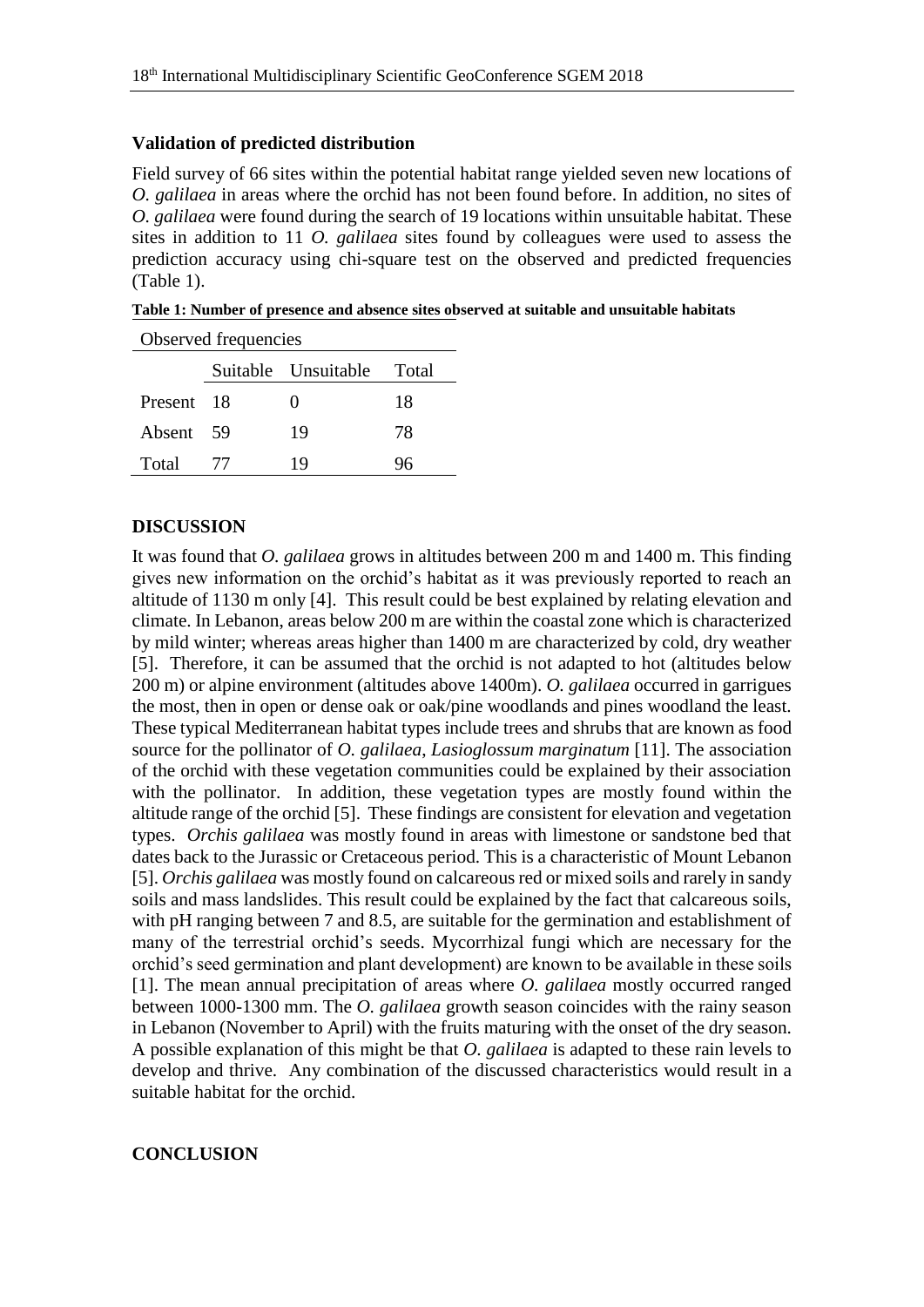# **Validation of predicted distribution**

Field survey of 66 sites within the potential habitat range yielded seven new locations of *O. galilaea* in areas where the orchid has not been found before. In addition, no sites of *O. galilaea* were found during the search of 19 locations within unsuitable habitat. These sites in addition to 11 *O. galilaea* sites found by colleagues were used to assess the prediction accuracy using chi-square test on the observed and predicted frequencies (Table 1).

**Table 1: Number of presence and absence sites observed at suitable and unsuitable habitats**

| Observed frequencies |   |                     |       |
|----------------------|---|---------------------|-------|
|                      |   | Suitable Unsuitable | Total |
| Present 18           |   | 0                   | 18    |
| Absent 59            |   | 19                  | 78    |
| Total                | T | 19                  |       |

# **DISCUSSION**

It was found that *O. galilaea* grows in altitudes between 200 m and 1400 m. This finding gives new information on the orchid's habitat as it was previously reported to reach an altitude of 1130 m only [4]. This result could be best explained by relating elevation and climate. In Lebanon, areas below 200 m are within the coastal zone which is characterized by mild winter; whereas areas higher than 1400 m are characterized by cold, dry weather [5]. Therefore, it can be assumed that the orchid is not adapted to hot (altitudes below 200 m) or alpine environment (altitudes above 1400m). *O. galilaea* occurred in garrigues the most, then in open or dense oak or oak/pine woodlands and pines woodland the least. These typical Mediterranean habitat types include trees and shrubs that are known as food source for the pollinator of *O. galilaea*, *Lasioglossum marginatum* [11]. The association of the orchid with these vegetation communities could be explained by their association with the pollinator. In addition, these vegetation types are mostly found within the altitude range of the orchid [5]. These findings are consistent for elevation and vegetation types. *Orchis galilaea* was mostly found in areas with limestone or sandstone bed that dates back to the Jurassic or Cretaceous period. This is a characteristic of Mount Lebanon [5]. *Orchis galilaea* was mostly found on calcareous red or mixed soils and rarely in sandy soils and mass landslides. This result could be explained by the fact that calcareous soils, with pH ranging between 7 and 8.5, are suitable for the germination and establishment of many of the terrestrial orchid's seeds. Mycorrhizal fungi which are necessary for the orchid's seed germination and plant development) are known to be available in these soils [1]. The mean annual precipitation of areas where *O. galilaea* mostly occurred ranged between 1000-1300 mm. The *O. galilaea* growth season coincides with the rainy season in Lebanon (November to April) with the fruits maturing with the onset of the dry season. A possible explanation of this might be that *O. galilaea* is adapted to these rain levels to develop and thrive. Any combination of the discussed characteristics would result in a suitable habitat for the orchid.

#### **CONCLUSION**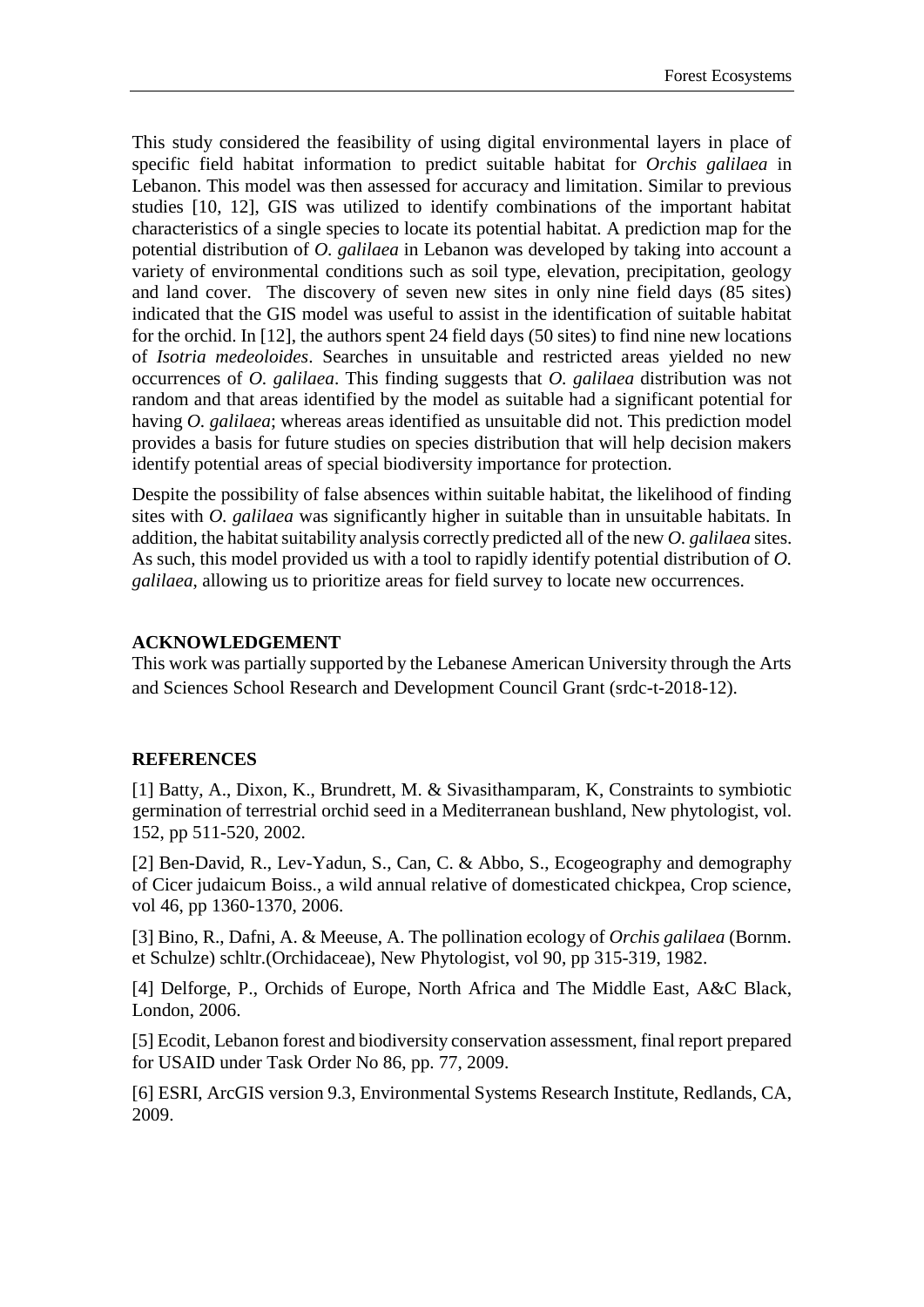This study considered the feasibility of using digital environmental layers in place of specific field habitat information to predict suitable habitat for *Orchis galilaea* in Lebanon. This model was then assessed for accuracy and limitation. Similar to previous studies [10, 12], GIS was utilized to identify combinations of the important habitat characteristics of a single species to locate its potential habitat. A prediction map for the potential distribution of *O. galilaea* in Lebanon was developed by taking into account a variety of environmental conditions such as soil type, elevation, precipitation, geology and land cover. The discovery of seven new sites in only nine field days (85 sites) indicated that the GIS model was useful to assist in the identification of suitable habitat for the orchid. In [12], the authors spent 24 field days (50 sites) to find nine new locations of *Isotria medeoloides*. Searches in unsuitable and restricted areas yielded no new occurrences of *O. galilaea*. This finding suggests that *O. galilaea* distribution was not random and that areas identified by the model as suitable had a significant potential for having *O. galilaea*; whereas areas identified as unsuitable did not. This prediction model provides a basis for future studies on species distribution that will help decision makers identify potential areas of special biodiversity importance for protection.

Despite the possibility of false absences within suitable habitat, the likelihood of finding sites with *O. galilaea* was significantly higher in suitable than in unsuitable habitats. In addition, the habitat suitability analysis correctly predicted all of the new *O. galilaea* sites. As such, this model provided us with a tool to rapidly identify potential distribution of *O. galilaea*, allowing us to prioritize areas for field survey to locate new occurrences.

# **ACKNOWLEDGEMENT**

This work was partially supported by the Lebanese American University through the Arts and Sciences School Research and Development Council Grant (srdc-t-2018-12).

#### **REFERENCES**

[1] Batty, A., Dixon, K., Brundrett, M. & Sivasithamparam, K, Constraints to symbiotic germination of terrestrial orchid seed in a Mediterranean bushland, New phytologist, vol. 152, pp 511-520, 2002.

[2] Ben-David, R., Lev-Yadun, S., Can, C. & Abbo, S., Ecogeography and demography of Cicer judaicum Boiss., a wild annual relative of domesticated chickpea, Crop science, vol 46, pp 1360-1370, 2006.

[3] Bino, R., Dafni, A. & Meeuse, A. The pollination ecology of *Orchis galilaea* (Bornm. et Schulze) schltr.(Orchidaceae), New Phytologist, vol 90, pp 315-319, 1982.

[4] Delforge, P., Orchids of Europe, North Africa and The Middle East, A&C Black, London, 2006.

[5] Ecodit, Lebanon forest and biodiversity conservation assessment, final report prepared for USAID under Task Order No 86, pp. 77, 2009.

[6] ESRI, ArcGIS version 9.3, Environmental Systems Research Institute, Redlands, CA, 2009.